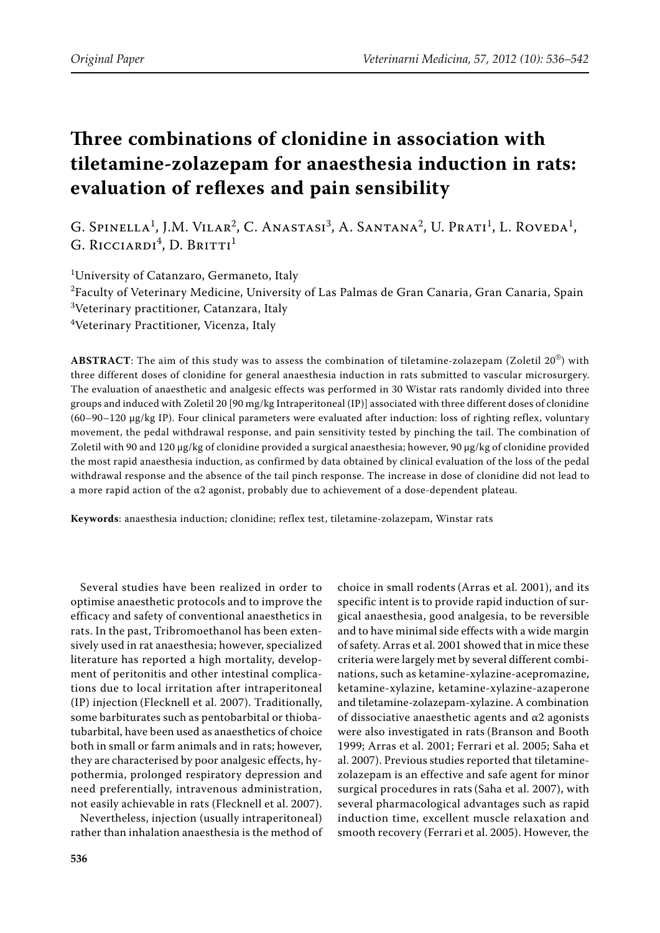# **Three combinations of clonidine in association with tiletamine-zolazepam for anaesthesia induction in rats: evaluation of reflexes and pain sensibility**

G. Spinella<sup>1</sup>, J.M. Vilar<sup>2</sup>, C. Anastasi<sup>3</sup>, A. Santana<sup>2</sup>, U. Prati<sup>1</sup>, L. Roveda<sup>1</sup>, G. Ricciardi<sup>4</sup>, D. Britti<sup>1</sup>

1 University of Catanzaro, Germaneto, Italy

 $^2$ Faculty of Veterinary Medicine, University of Las Palmas de Gran Canaria, Gran Canaria, Spain 3 Veterinary practitioner, Catanzara, Italy

4 Veterinary Practitioner, Vicenza, Italy

**ABSTRACT**: The aim of this study was to assess the combination of tiletamine-zolazepam (Zoletil 20®) with three different doses of clonidine for general anaesthesia induction in rats submitted to vascular microsurgery. The evaluation of anaesthetic and analgesic effects was performed in 30 Wistar rats randomly divided into three groups and induced with Zoletil 20 [90 mg/kg Intraperitoneal (IP)] associated with three different doses of clonidine (60–90–120 μg/kg IP). Four clinical parameters were evaluated after induction: loss of righting reflex, voluntary movement, the pedal withdrawal response, and pain sensitivity tested by pinching the tail. The combination of Zoletil with 90 and 120 μg/kg of clonidine provided a surgical anaesthesia; however, 90 μg/kg of clonidine provided the most rapid anaesthesia induction, as confirmed by data obtained by clinical evaluation of the loss of the pedal withdrawal response and the absence of the tail pinch response. The increase in dose of clonidine did not lead to a more rapid action of the α2 agonist, probably due to achievement of a dose-dependent plateau.

**Keywords**: anaesthesia induction; clonidine; reflex test, tiletamine-zolazepam, Winstar rats

Several studies have been realized in order to optimise anaesthetic protocols and to improve the efficacy and safety of conventional anaesthetics in rats. In the past, Tribromoethanol has been extensively used in rat anaesthesia; however, specialized literature has reported a high mortality, development of peritonitis and other intestinal complications due to local irritation after intraperitoneal (IP) injection (Flecknell et al. 2007). Traditionally, some barbiturates such as pentobarbital or thiobatubarbital, have been used as anaesthetics of choice both in small or farm animals and in rats; however, they are characterised by poor analgesic effects, hypothermia, prolonged respiratory depression and need preferentially, intravenous administration, not easily achievable in rats (Flecknell et al. 2007).

Nevertheless, injection (usually intraperitoneal) rather than inhalation anaesthesia is the method of

choice in small rodents(Arras et al. 2001), and its specific intent is to provide rapid induction of surgical anaesthesia, good analgesia, to be reversible and to have minimal side effects with a wide margin of safety. Arras et al. 2001 showed that in mice these criteria were largely met by several different combinations, such as ketamine-xylazine-acepromazine, ketamine-xylazine, ketamine-xylazine-azaperone and tiletamine-zolazepam-xylazine. A combination of dissociative anaesthetic agents and  $\alpha$ 2 agonists were also investigated in rats (Branson and Booth 1999; Arras et al. 2001; Ferrari et al. 2005; Saha et al. 2007). Previous studies reported that tiletaminezolazepam is an effective and safe agent for minor surgical procedures in rats(Saha et al. 2007), with several pharmacological advantages such as rapid induction time, excellent muscle relaxation and smooth recovery (Ferrari et al. 2005). However, the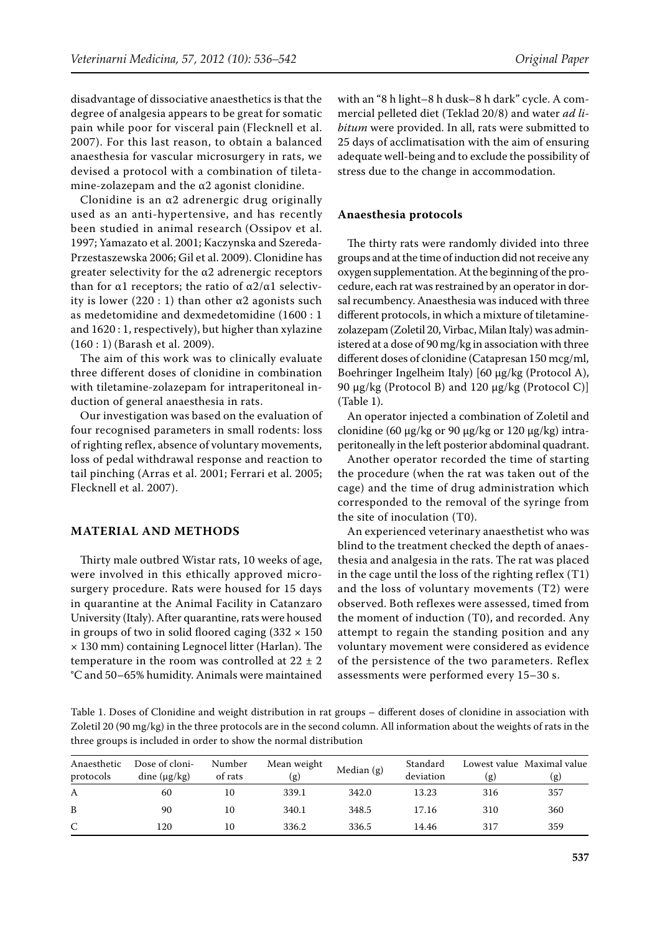disadvantage of dissociative anaesthetics is that the degree of analgesia appears to be great for somatic pain while poor for visceral pain (Flecknell et al. 2007). For this last reason, to obtain a balanced anaesthesia for vascular microsurgery in rats, we devised a protocol with a combination of tiletamine-zolazepam and the  $\alpha$ 2 agonist clonidine.

Clonidine is an  $\alpha$ 2 adrenergic drug originally used as an anti-hypertensive, and has recently been studied in animal research (Ossipov et al. 1997; Yamazato et al. 2001; Kaczynska and Szereda-Przestaszewska 2006; Gil et al. 2009). Clonidine has greater selectivity for the  $\alpha$ 2 adrenergic receptors than for α1 receptors; the ratio of  $α2/α1$  selectivity is lower  $(220:1)$  than other  $\alpha$ 2 agonists such as medetomidine and dexmedetomidine (1600 : 1 and 1620 : 1, respectively), but higher than xylazine (160 : 1) (Barash et al. 2009).

The aim of this work was to clinically evaluate three different doses of clonidine in combination with tiletamine-zolazepam for intraperitoneal induction of general anaesthesia in rats.

Our investigation was based on the evaluation of four recognised parameters in small rodents: loss of righting reflex, absence of voluntary movements, loss of pedal withdrawal response and reaction to tail pinching (Arras et al. 2001; Ferrari et al. 2005; Flecknell et al. 2007).

## **MATERIAL AND METHODS**

Thirty male outbred Wistar rats, 10 weeks of age, were involved in this ethically approved microsurgery procedure. Rats were housed for 15 days in quarantine at the Animal Facility in Catanzaro University (Italy). After quarantine, rats were housed in groups of two in solid floored caging  $(332 \times 150)$ × 130 mm) containing Legnocel litter (Harlan). The temperature in the room was controlled at  $22 \pm 2$ °C and 50–65% humidity. Animals were maintained with an "8 h light–8 h dusk–8 h dark" cycle. A commercial pelleted diet (Teklad 20/8) and water *ad libitum* were provided. In all, rats were submitted to 25 days of acclimatisation with the aim of ensuring adequate well-being and to exclude the possibility of stress due to the change in accommodation.

## **Anaesthesia protocols**

The thirty rats were randomly divided into three groups and at the time of induction did not receive any oxygen supplementation. At the beginning of the procedure, each rat was restrained by an operator in dorsal recumbency. Anaesthesia was induced with three different protocols, in which a mixture of tiletaminezolazepam (Zoletil 20, Virbac, Milan Italy) was administered at a dose of 90 mg/kg in association with three different doses of clonidine (Catapresan 150 mcg/ml, Boehringer Ingelheim Italy) [60 μg/kg (Protocol A), 90 μg/kg (Protocol B) and 120 μg/kg (Protocol C)] (Table 1).

An operator injected a combination of Zoletil and clonidine (60 μg/kg or 90 μg/kg or 120 μg/kg) intraperitoneally in the left posterior abdominal quadrant.

Another operator recorded the time of starting the procedure (when the rat was taken out of the cage) and the time of drug administration which corresponded to the removal of the syringe from the site of inoculation (T0).

An experienced veterinary anaesthetist who was blind to the treatment checked the depth of anaesthesia and analgesia in the rats. The rat was placed in the cage until the loss of the righting reflex (T1) and the loss of voluntary movements (T2) were observed. Both reflexes were assessed, timed from the moment of induction (T0), and recorded. Any attempt to regain the standing position and any voluntary movement were considered as evidence of the persistence of the two parameters. Reflex assessments were performed every 15–30 s.

Table 1. Doses of Clonidine and weight distribution in rat groups – different doses of clonidine in association with Zoletil 20 (90 mg/kg) in the three protocols are in the second column. All information about the weights of rats in the three groups is included in order to show the normal distribution

| Anaesthetic<br>protocols | Dose of cloni-<br>dine $(\mu g/kg)$ | Number<br>of rats | Mean weight<br>(g) | Median (g) | Standard<br>deviation | (g) | Lowest value Maximal value<br>(g) |
|--------------------------|-------------------------------------|-------------------|--------------------|------------|-----------------------|-----|-----------------------------------|
| A                        | 60                                  | 10                | 339.1              | 342.0      | 13.23                 | 316 | 357                               |
| B                        | 90                                  | 10                | 340.1              | 348.5      | 17.16                 | 310 | 360                               |
| C                        | 120                                 | 10                | 336.2              | 336.5      | 14.46                 | 317 | 359                               |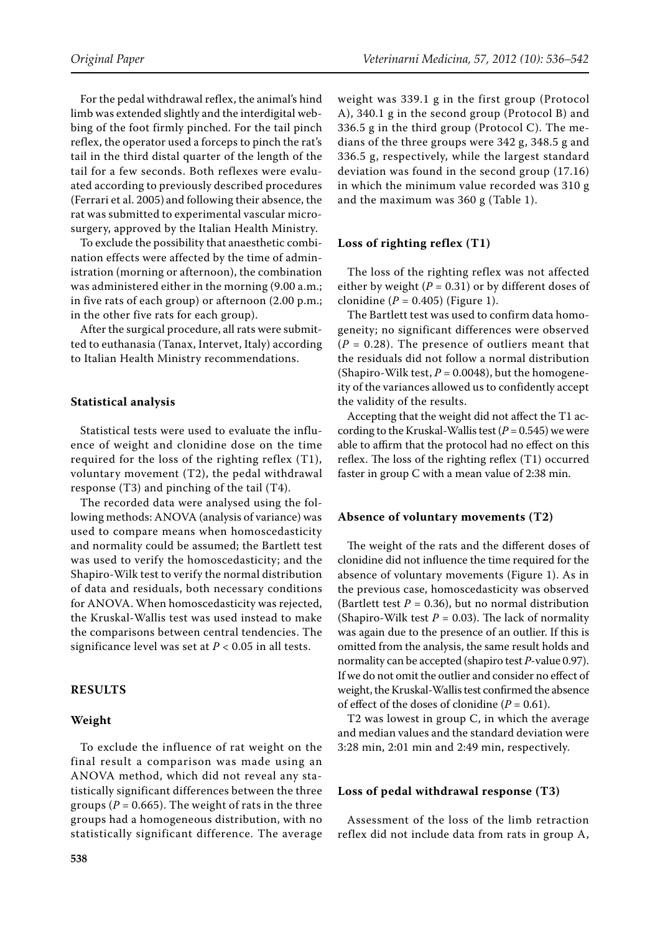For the pedal withdrawal reflex, the animal's hind limb was extended slightly and the interdigital webbing of the foot firmly pinched. For the tail pinch reflex, the operator used a forceps to pinch the rat's tail in the third distal quarter of the length of the tail for a few seconds. Both reflexes were evaluated according to previously described procedures (Ferrari et al. 2005) and following their absence, the rat was submitted to experimental vascular microsurgery, approved by the Italian Health Ministry.

To exclude the possibility that anaesthetic combination effects were affected by the time of administration (morning or afternoon), the combination was administered either in the morning (9.00 a.m.; in five rats of each group) or afternoon (2.00 p.m.; in the other five rats for each group).

After the surgical procedure, all rats were submitted to euthanasia (Tanax, Intervet, Italy) according to Italian Health Ministry recommendations.

#### **Statistical analysis**

Statistical tests were used to evaluate the influence of weight and clonidine dose on the time required for the loss of the righting reflex (T1), voluntary movement (T2), the pedal withdrawal response (T3) and pinching of the tail (T4).

The recorded data were analysed using the following methods: ANOVA (analysis of variance) was used to compare means when homoscedasticity and normality could be assumed; the Bartlett test was used to verify the homoscedasticity; and the Shapiro-Wilk test to verify the normal distribution of data and residuals, both necessary conditions for ANOVA. When homoscedasticity was rejected, the Kruskal-Wallis test was used instead to make the comparisons between central tendencies. The significance level was set at  $P < 0.05$  in all tests.

## **RESULTS**

#### **Weight**

To exclude the influence of rat weight on the final result a comparison was made using an ANOVA method, which did not reveal any statistically significant differences between the three groups ( $P = 0.665$ ). The weight of rats in the three groups had a homogeneous distribution, with no statistically significant difference. The average weight was 339.1 g in the first group (Protocol A), 340.1 g in the second group (Protocol B) and 336.5 g in the third group (Protocol C). The medians of the three groups were 342 g, 348.5 g and 336.5 g, respectively, while the largest standard deviation was found in the second group (17.16) in which the minimum value recorded was 310 g and the maximum was 360 g (Table 1).

#### **Loss of righting reflex (T1)**

The loss of the righting reflex was not affected either by weight  $(P = 0.31)$  or by different doses of clonidine  $(P = 0.405)$  (Figure 1).

The Bartlett test was used to confirm data homogeneity; no significant differences were observed  $(P = 0.28)$ . The presence of outliers meant that the residuals did not follow a normal distribution (Shapiro-Wilk test,  $P = 0.0048$ ), but the homogeneity of the variances allowed us to confidently accept the validity of the results.

Accepting that the weight did not affect the T1 according to the Kruskal-Wallis test  $(P = 0.545)$  we were able to affirm that the protocol had no effect on this reflex. The loss of the righting reflex (T1) occurred faster in group C with a mean value of 2:38 min.

## **Absence of voluntary movements (T2)**

The weight of the rats and the different doses of clonidine did not influence the time required for the absence of voluntary movements (Figure 1). As in the previous case, homoscedasticity was observed (Bartlett test  $P = 0.36$ ), but no normal distribution (Shapiro-Wilk test  $P = 0.03$ ). The lack of normality was again due to the presence of an outlier. If this is omitted from the analysis, the same result holds and normality can be accepted (shapiro test *P*-value 0.97). If we do not omit the outlier and consider no effect of weight, the Kruskal-Wallis test confirmed the absence of effect of the doses of clonidine  $(P = 0.61)$ .

T2 was lowest in group C, in which the average and median values and the standard deviation were 3:28 min, 2:01 min and 2:49 min, respectively.

## **Loss of pedal withdrawal response (T3)**

Assessment of the loss of the limb retraction reflex did not include data from rats in group A,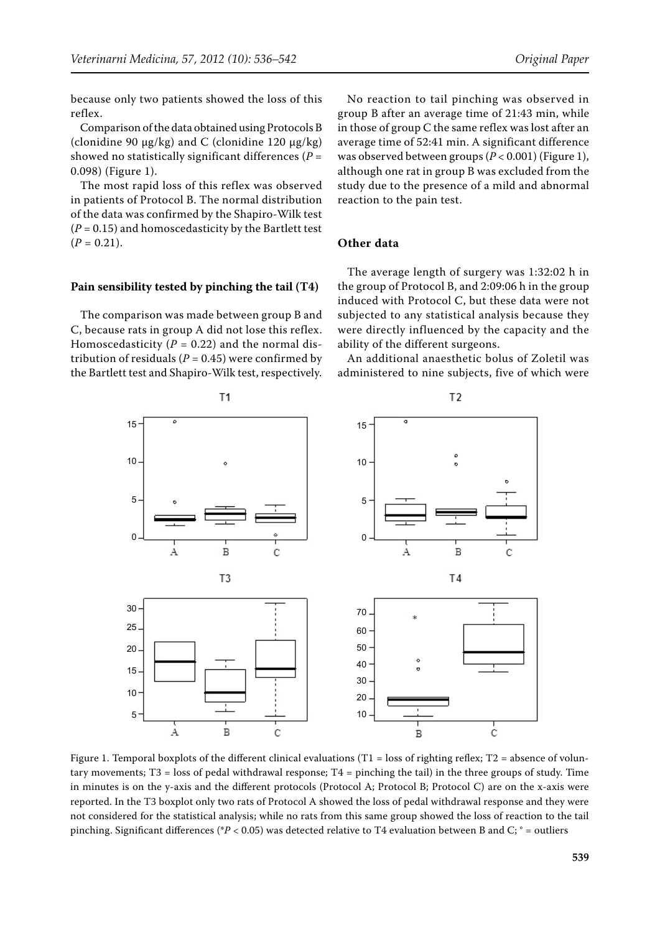because only two patients showed the loss of this reflex.

Comparison of the data obtained using Protocols B (clonidine 90  $\mu$ g/kg) and C (clonidine 120  $\mu$ g/kg) showed no statistically significant differences (*P* = 0.098) (Figure 1).

The most rapid loss of this reflex was observed in patients of Protocol B. The normal distribution of the data was confirmed by the Shapiro-Wilk test  $(P = 0.15)$  and homoscedasticity by the Bartlett test  $(P = 0.21)$ .

#### **Pain sensibility tested by pinching the tail (T4)**

The comparison was made between group B and C, because rats in group A did not lose this reflex. Homoscedasticity ( $P = 0.22$ ) and the normal distribution of residuals ( $P = 0.45$ ) were confirmed by the Bartlett test and Shapiro-Wilk test, respectively.

No reaction to tail pinching was observed in group B after an average time of 21:43 min, while in those of group C the same reflex was lost after an average time of 52:41 min. A significant difference was observed between groups (*P* < 0.001) (Figure 1), although one rat in group B was excluded from the study due to the presence of a mild and abnormal reaction to the pain test.

#### **Other data**

The average length of surgery was 1:32:02 h in the group of Protocol B, and 2:09:06 h in the group induced with Protocol C, but these data were not subjected to any statistical analysis because they were directly influenced by the capacity and the ability of the different surgeons.

An additional anaesthetic bolus of Zoletil was administered to nine subjects, five of which were



Figure 1. Temporal boxplots of the different clinical evaluations  $(T1 = loss$  of righting reflex;  $T2 = abs$ ence of voluntary movements;  $T3 =$  loss of pedal withdrawal response;  $T4 =$  pinching the tail) in the three groups of study. Time in minutes is on the y-axis and the different protocols (Protocol A; Protocol B; Protocol C) are on the x-axis were reported. In the T3 boxplot only two rats of Protocol A showed the loss of pedal withdrawal response and they were not considered for the statistical analysis; while no rats from this same group showed the loss of reaction to the tail pinching. Significant differences (\**P* < 0.05) was detected relative to T4 evaluation between B and C; ° = outliers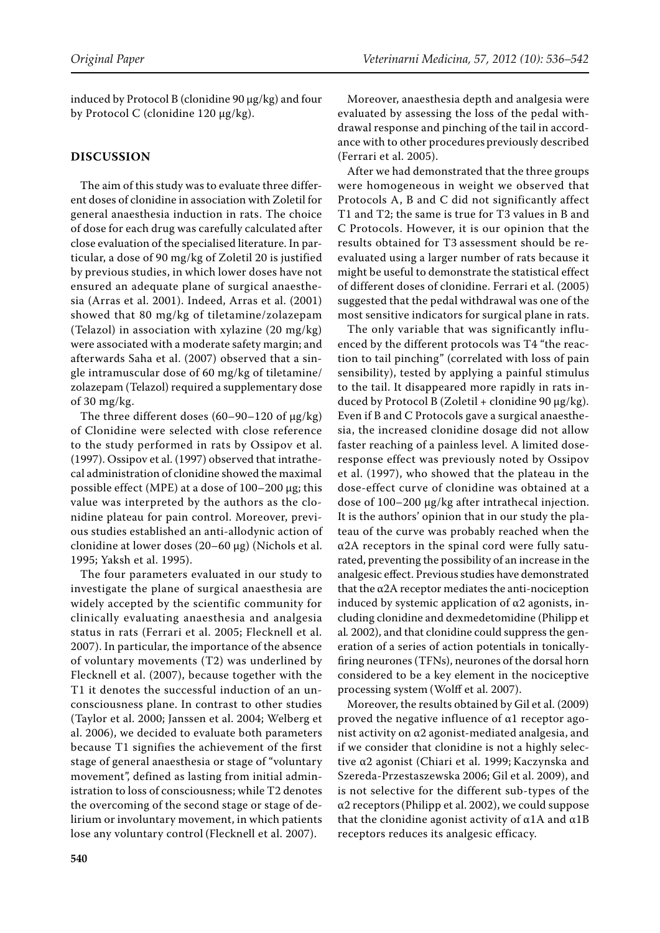induced by Protocol B (clonidine 90 μg/kg) and four by Protocol C (clonidine 120 μg/kg).

## **DISCUSSION**

The aim of this study was to evaluate three different doses of clonidine in association with Zoletil for general anaesthesia induction in rats. The choice of dose for each drug was carefully calculated after close evaluation of the specialised literature. In particular, a dose of 90 mg/kg of Zoletil 20 is justified by previous studies, in which lower doses have not ensured an adequate plane of surgical anaesthesia (Arras et al. 2001). Indeed, Arras et al. (2001) showed that 80 mg/kg of tiletamine/zolazepam (Telazol) in association with xylazine (20 mg/kg) were associated with a moderate safety margin; and afterwards Saha et al. (2007) observed that a single intramuscular dose of 60 mg/kg of tiletamine/ zolazepam (Telazol) required a supplementary dose of 30 mg/kg.

The three different doses  $(60-90-120 \text{ of } \mu\text{g/kg})$ of Clonidine were selected with close reference to the study performed in rats by Ossipov et al. (1997). Ossipov et al. (1997) observed that intrathecal administration of clonidine showed the maximal possible effect (MPE) at a dose of 100–200 μg; this value was interpreted by the authors as the clonidine plateau for pain control. Moreover, previous studies established an anti-allodynic action of clonidine at lower doses (20–60 μg) (Nichols et al. 1995; Yaksh et al. 1995).

The four parameters evaluated in our study to investigate the plane of surgical anaesthesia are widely accepted by the scientific community for clinically evaluating anaesthesia and analgesia status in rats (Ferrari et al. 2005; Flecknell et al. 2007). In particular, the importance of the absence of voluntary movements (T2) was underlined by Flecknell et al. (2007), because together with the T1 it denotes the successful induction of an unconsciousness plane. In contrast to other studies (Taylor et al. 2000; Janssen et al. 2004; Welberg et al. 2006), we decided to evaluate both parameters because T1 signifies the achievement of the first stage of general anaesthesia or stage of "voluntary movement", defined as lasting from initial administration to loss of consciousness; while T2 denotes the overcoming of the second stage or stage of delirium or involuntary movement, in which patients lose any voluntary control (Flecknell et al. 2007).

Moreover, anaesthesia depth and analgesia were evaluated by assessing the loss of the pedal withdrawal response and pinching of the tail in accordance with to other procedures previously described (Ferrari et al. 2005).

After we had demonstrated that the three groups were homogeneous in weight we observed that Protocols A, B and C did not significantly affect T1 and T2; the same is true for T3 values in B and C Protocols. However, it is our opinion that the results obtained for T3 assessment should be reevaluated using a larger number of rats because it might be useful to demonstrate the statistical effect of different doses of clonidine. Ferrari et al. (2005) suggested that the pedal withdrawal was one of the most sensitive indicators for surgical plane in rats.

The only variable that was significantly influenced by the different protocols was T4 "the reaction to tail pinching" (correlated with loss of pain sensibility), tested by applying a painful stimulus to the tail. It disappeared more rapidly in rats induced by Protocol B (Zoletil + clonidine 90 μg/kg). Even if B and C Protocols gave a surgical anaesthesia, the increased clonidine dosage did not allow faster reaching of a painless level. A limited doseresponse effect was previously noted by Ossipov et al. (1997), who showed that the plateau in the dose-effect curve of clonidine was obtained at a dose of 100–200 μg/kg after intrathecal injection. It is the authors' opinion that in our study the plateau of the curve was probably reached when the α2A receptors in the spinal cord were fully saturated, preventing the possibility of an increase in the analgesic effect. Previous studies have demonstrated that the α2A receptor mediates the anti-nociception induced by systemic application of  $\alpha$ 2 agonists, including clonidine and dexmedetomidine (Philipp et al*.* 2002), and that clonidine could suppress the generation of a series of action potentials in tonicallyfiring neurones (TFNs), neurones of the dorsal horn considered to be a key element in the nociceptive processing system (Wolff et al. 2007).

Moreover, the results obtained by Gil et al. (2009) proved the negative influence of  $\alpha$ 1 receptor agonist activity on α2 agonist-mediated analgesia, and if we consider that clonidine is not a highly selective α2 agonist (Chiari et al. 1999; Kaczynska and Szereda-Przestaszewska 2006; Gil et al. 2009), and is not selective for the different sub-types of the α2 receptors(Philipp et al. 2002), we could suppose that the clonidine agonist activity of  $\alpha$ 1A and  $\alpha$ 1B receptors reduces its analgesic efficacy.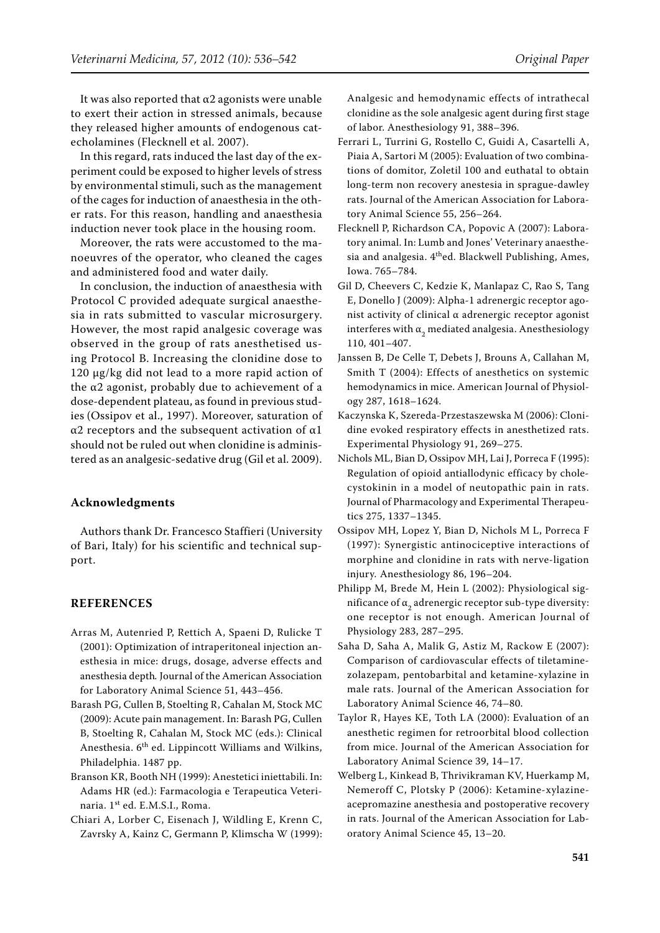It was also reported that  $\alpha$ 2 agonists were unable to exert their action in stressed animals, because they released higher amounts of endogenous catecholamines (Flecknell et al. 2007).

In this regard, rats induced the last day of the experiment could be exposed to higher levels of stress by environmental stimuli, such as the management of the cages for induction of anaesthesia in the other rats. For this reason, handling and anaesthesia induction never took place in the housing room.

Moreover, the rats were accustomed to the manoeuvres of the operator, who cleaned the cages and administered food and water daily.

In conclusion, the induction of anaesthesia with Protocol C provided adequate surgical anaesthesia in rats submitted to vascular microsurgery. However, the most rapid analgesic coverage was observed in the group of rats anesthetised using Protocol B. Increasing the clonidine dose to 120 μg/kg did not lead to a more rapid action of the  $α2$  agonist, probably due to achievement of a dose-dependent plateau, as found in previous studies (Ossipov et al., 1997). Moreover, saturation of α2 receptors and the subsequent activation of α1 should not be ruled out when clonidine is administered as an analgesic-sedative drug (Gil et al. 2009).

#### **Acknowledgments**

Authors thank Dr. Francesco Staffieri (University of Bari, Italy) for his scientific and technical support.

### **REFERENCES**

- Arras M, Autenried P, Rettich A, Spaeni D, Rulicke T (2001): Optimization of intraperitoneal injection anesthesia in mice: drugs, dosage, adverse effects and anesthesia depth*.* Journal of the American Association for Laboratory Animal Science 51, 443–456.
- Barash PG, Cullen B, Stoelting R, Cahalan M, Stock MC (2009): Acute pain management. In: Barash PG, Cullen B, Stoelting R, Cahalan M, Stock MC (eds.): Clinical Anesthesia. 6th ed. Lippincott Williams and Wilkins, Philadelphia. 1487 pp.
- Branson KR, Booth NH (1999): Anestetici iniettabili. In: Adams HR (ed.): Farmacologia e Terapeutica Veterinaria. 1st ed. E.M.S.I., Roma.
- Chiari A, Lorber C, Eisenach J, Wildling E, Krenn C, Zavrsky A, Kainz C, Germann P, Klimscha W (1999):

Analgesic and hemodynamic effects of intrathecal clonidine as the sole analgesic agent during first stage of labor. Anesthesiology 91, 388–396.

- Ferrari L, Turrini G, Rostello C, Guidi A, Casartelli A, Piaia A, Sartori M (2005): Evaluation of two combinations of domitor, Zoletil 100 and euthatal to obtain long-term non recovery anestesia in sprague-dawley rats. Journal of the American Association for Laboratory Animal Science 55, 256–264.
- Flecknell P, Richardson CA, Popovic A (2007): Laboratory animal. In: Lumb and Jones' Veterinary anaesthesia and analgesia.  $4<sup>th</sup>$ ed. Blackwell Publishing, Ames, Iowa. 765–784.
- Gil D, Cheevers C, Kedzie K, Manlapaz C, Rao S, Tang E, Donello J (2009): Alpha-1 adrenergic receptor agonist activity of clinical α adrenergic receptor agonist interferes with  $\mathfrak{a}_2$  mediated analgesia. Anesthesiology 110, 401–407.
- Janssen B, De Celle T, Debets J, Brouns A, Callahan M, Smith T (2004): Effects of anesthetics on systemic hemodynamics in mice. American Journal of Physiology 287, 1618–1624.
- Kaczynska K, Szereda-Przestaszewska M (2006): Clonidine evoked respiratory effects in anesthetized rats. Experimental Physiology 91, 269–275.
- Nichols ML, Bian D, Ossipov MH, Lai J, Porreca F (1995): Regulation of opioid antiallodynic efficacy by cholecystokinin in a model of neutopathic pain in rats. Journal of Pharmacology and Experimental Therapeutics 275, 1337–1345.
- Ossipov MH, Lopez Y, Bian D, Nichols M L, Porreca F (1997): Synergistic antinociceptive interactions of morphine and clonidine in rats with nerve-ligation injury*.* Anesthesiology 86, 196–204.
- Philipp M, Brede M, Hein L (2002): Physiological significance of  $\mathfrak{a}_2$  adrenergic receptor sub-type diversity: one receptor is not enough. American Journal of Physiology 283, 287–295.
- Saha D, Saha A, Malik G, Astiz M, Rackow E (2007): Comparison of cardiovascular effects of tiletaminezolazepam, pentobarbital and ketamine-xylazine in male rats. Journal of the American Association for Laboratory Animal Science 46, 74–80.
- Taylor R, Hayes KE, Toth LA (2000): Evaluation of an anesthetic regimen for retroorbital blood collection from mice. Journal of the American Association for Laboratory Animal Science 39, 14–17.
- Welberg L, Kinkead B, Thrivikraman KV, Huerkamp M, Nemeroff C, Plotsky P (2006): Ketamine-xylazineacepromazine anesthesia and postoperative recovery in rats. Journal of the American Association for Laboratory Animal Science 45, 13–20.